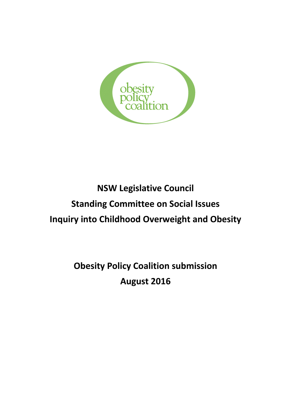

# **NSW Legislative Council Standing Committee on Social Issues Inquiry into Childhood Overweight and Obesity**

**Obesity Policy Coalition submission August 2016**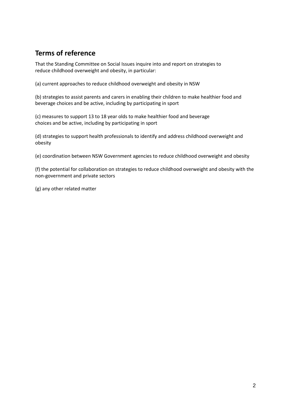# **Terms of reference**

That the Standing Committee on Social Issues inquire into and report on strategies to reduce childhood overweight and obesity, in particular:

(a) current approaches to reduce childhood overweight and obesity in NSW

(b) strategies to assist parents and carers in enabling their children to make healthier food and beverage choices and be active, including by participating in sport

(c) measures to support 13 to 18 year olds to make healthier food and beverage choices and be active, including by participating in sport

(d) strategies to support health professionals to identify and address childhood overweight and obesity

(e) coordination between NSW Government agencies to reduce childhood overweight and obesity

(f) the potential for collaboration on strategies to reduce childhood overweight and obesity with the non-government and private sectors

(g) any other related matter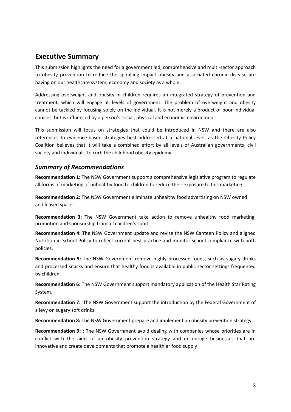# **Executive Summary**

This submission highlights the need for a government led, comprehensive and multi-sector approach to obesity prevention to reduce the spiralling impact obesity and associated chronic disease are having on our healthcare system, economy and society as a whole.

Addressing overweight and obesity in children requires an integrated strategy of prevention and treatment, which will engage all levels of government. The problem of overweight and obesity cannot be tackled by focusing solely on the individual. It is not merely a product of poor individual choices, but is influenced by a person's social, physical and economic environment.

This submission will focus on strategies that could be introduced in NSW and there are also references to evidence-based strategies best addressed at a national level, as the Obesity Policy Coalition believes that it will take a combined effort by all levels of Australian governments, civil society and individuals to curb the childhood obesity epidemic.

#### *Summary of Recommendations*

**Recommendation 1:** The NSW Government support a comprehensive legislative program to regulate all forms of marketing of unhealthy food to children to reduce their exposure to this marketing.

**Recommendation 2:** The NSW Government eliminate unhealthy food advertising on NSW owned and leased spaces.

**Recommendation 3:** The NSW Government take action to remove unhealthy food marketing, promotion and sponsorship from all children's sport.

**Recommendation 4:** The NSW Government update and revise the NSW Canteen Policy and aligned Nutrition in School Policy to reflect current best practice and monitor school compliance with both policies.

**Recommendation 5:** The NSW Government remove highly processed foods, such as sugary drinks and processed snacks and ensure that healthy food is available in public sector settings frequented by children.

**Recommendation 6:** The NSW Government support mandatory application of the Health Star Rating System.

**Recommendation 7:** The NSW Government support the introduction by the Federal Government of a levy on sugary soft drinks.

**Recommendation 8:** The NSW Government prepare and implement an obesity prevention strategy.

**Recommendation 9: : T**he NSW Government avoid dealing with companies whose priorities are in conflict with the aims of an obesity prevention strategy and encourage businesses that are innovative and create developments that promote a healthier food supply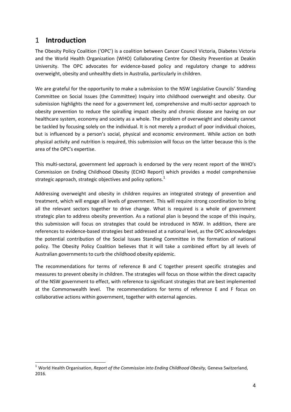# 1 **Introduction**

The Obesity Policy Coalition ('OPC') is a coalition between Cancer Council Victoria, Diabetes Victoria and the World Health Organization (WHO) Collaborating Centre for Obesity Prevention at Deakin University. The OPC advocates for evidence-based policy and regulatory change to address overweight, obesity and unhealthy diets in Australia, particularly in children.

We are grateful for the opportunity to make a submission to the NSW Legislative Councils' Standing Committee on Social Issues (the Committee) Inquiry into childhood overweight and obesity. Our submission highlights the need for a government led, comprehensive and multi-sector approach to obesity prevention to reduce the spiralling impact obesity and chronic disease are having on our healthcare system, economy and society as a whole. The problem of overweight and obesity cannot be tackled by focusing solely on the individual. It is not merely a product of poor individual choices, but is influenced by a person's social, physical and economic environment. While action on both physical activity and nutrition is required, this submission will focus on the latter because this is the area of the OPC's expertise.

This multi-sectoral, government led approach is endorsed by the very recent report of the WHO's Commission on Ending Childhood Obesity (ECHO Report) which provides a model comprehensive strategic approach, strategic objectives and policy options.<sup>1</sup>

Addressing overweight and obesity in children requires an integrated strategy of prevention and treatment, which will engage all levels of government. This will require strong coordination to bring all the relevant sectors together to drive change. What is required is a whole of government strategic plan to address obesity prevention. As a national plan is beyond the scope of this inquiry, this submission will focus on strategies that could be introduced in NSW. In addition, there are references to evidence-based strategies best addressed at a national level, as the OPC acknowledges the potential contribution of the Social Issues Standing Committee in the formation of national policy. The Obesity Policy Coalition believes that it will take a combined effort by all levels of Australian governments to curb the childhood obesity epidemic.

The recommendations for terms of reference B and C together present specific strategies and measures to prevent obesity in children. The strategies will focus on those within the direct capacity of the NSW government to effect, with reference to significant strategies that are best implemented at the Commonwealth level. The recommendations for terms of reference E and F focus on collaborative actions within government, together with external agencies.

<sup>-</sup><sup>1</sup> World Health Organisation, *Report of the Commission into Ending Childhood Obesity*, Geneva Switzerland, 2016.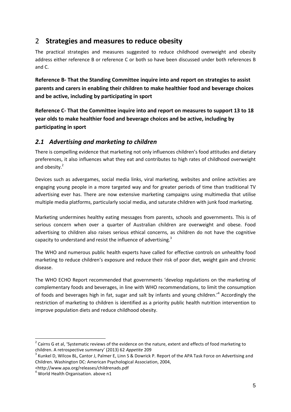# 2 **Strategies and measures to reduce obesity**

The practical strategies and measures suggested to reduce childhood overweight and obesity address either reference B or reference C or both so have been discussed under both references B and C.

**Reference B- That the Standing Committee inquire into and report on strategies to assist parents and carers in enabling their children to make healthier food and beverage choices and be active, including by participating in sport**

**Reference C- That the Committee inquire into and report on measures to support 13 to 18 year olds to make healthier food and beverage choices and be active, including by participating in sport** 

# *2.1 Advertising and marketing to children*

There is compelling evidence that marketing not only influences children's food attitudes and dietary preferences, it also influences what they eat and contributes to high rates of childhood overweight and obesity.<sup>2</sup>

Devices such as advergames, social media links, viral marketing, websites and online activities are engaging young people in a more targeted way and for greater periods of time than traditional TV advertising ever has. There are now extensive marketing campaigns using multimedia that utilise multiple media platforms, particularly social media, and saturate children with junk food marketing.

Marketing undermines healthy eating messages from parents, schools and governments. This is of serious concern when over a quarter of Australian children are overweight and obese. Food advertising to children also raises serious ethical concerns, as children do not have the cognitive capacity to understand and resist the influence of advertising. $3$ 

The WHO and numerous public health experts have called for effective controls on unhealthy food marketing to reduce children's exposure and reduce their risk of poor diet, weight gain and chronic disease.

The WHO ECHO Report recommended that governments 'develop regulations on the marketing of complementary foods and beverages, in line with WHO recommendations, to limit the consumption of foods and beverages high in fat, sugar and salt by infants and young children.<sup>,4</sup> Accordingly the restriction of marketing to children is identified as a priority public health nutrition intervention to improve population diets and reduce childhood obesity.

 $2$  Cairns G et al, 'Systematic reviews of the evidence on the nature, extent and effects of food marketing to children. A retrospective summary' (2013) 62 *Appetite* 209

<sup>&</sup>lt;sup>3</sup> Kunkel D, Wilcox BL, Cantor J, Palmer E, Linn S & Dowrick P. Report of the APA Task Force on Advertising and Children. Washington DC: American Psychological Association, 2004,

<sup>&</sup>lt;http://www.apa.org/releases/childrenads.pdf

<sup>4</sup> World Health Organisation. above n1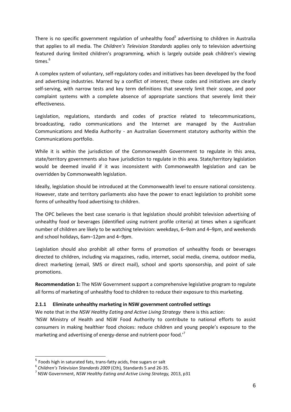There is no specific government regulation of unhealthy food<sup>5</sup> advertising to children in Australia that applies to all media. The *Children's Television Standards* applies only to television advertising featured during limited children's programming, which is largely outside peak children's viewing times.<sup>6</sup>

A complex system of voluntary, self-regulatory codes and initiatives has been developed by the food and advertising industries. Marred by a conflict of interest, these codes and initiatives are clearly self-serving, with narrow tests and key term definitions that severely limit their scope, and poor complaint systems with a complete absence of appropriate sanctions that severely limit their effectiveness.

Legislation, regulations, standards and codes of practice related to telecommunications, broadcasting, radio communications and the Internet are managed by the Australian Communications and Media Authority - an Australian Government statutory authority within the Communications portfolio.

While it is within the jurisdiction of the Commonwealth Government to regulate in this area, state/territory governments also have jurisdiction to regulate in this area. State/territory legislation would be deemed invalid if it was inconsistent with Commonwealth legislation and can be overridden by Commonwealth legislation.

Ideally, legislation should be introduced at the Commonwealth level to ensure national consistency. However, state and territory parliaments also have the power to enact legislation to prohibit some forms of unhealthy food advertising to children.

The OPC believes the best case scenario is that legislation should prohibit television advertising of unhealthy food or beverages (identified using nutrient profile criteria) at times when a significant number of children are likely to be watching television: weekdays, 6–9am and 4–9pm, and weekends and school holidays, 6am–12pm and 4–9pm.

Legislation should also prohibit all other forms of promotion of unhealthy foods or beverages directed to children, including via magazines, radio, internet, social media, cinema, outdoor media, direct marketing (email, SMS or direct mail), school and sports sponsorship, and point of sale promotions.

**Recommendation 1:** The NSW Government support a comprehensive legislative program to regulate all forms of marketing of unhealthy food to children to reduce their exposure to this marketing.

#### **2.1.1 Eliminate unhealthy marketing in NSW government controlled settings**

We note that in the *NSW Healthy Eating and Active Living Strategy* there is this action:

'NSW Ministry of Health and NSW Food Authority to contribute to national efforts to assist consumers in making healthier food choices: reduce children and young people's exposure to the marketing and advertising of energy-dense and nutrient-poor food.<sup>7</sup>

<sup>&</sup>lt;sup>5</sup> Foods high in saturated fats, trans-fatty acids, free sugars or salt

<sup>6</sup> *Children's Television Standards 2009* (Cth)*,* Standards 5 and 26-35.

<sup>7</sup> NSW Government, *NSW Healthy Eating and Active Living Strategy,* 2013, p31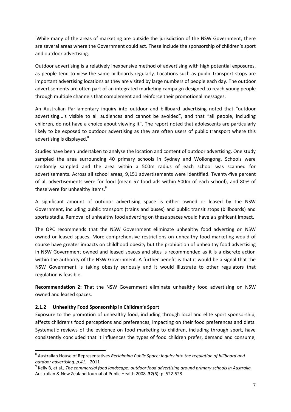While many of the areas of marketing are outside the jurisdiction of the NSW Government, there are several areas where the Government could act. These include the sponsorship of children's sport and outdoor advertising.

Outdoor advertising is a relatively inexpensive method of advertising with high potential exposures, as people tend to view the same billboards regularly. Locations such as public transport stops are important advertising locations as they are visited by large numbers of people each day. The outdoor advertisements are often part of an integrated marketing campaign designed to reach young people through multiple channels that complement and reinforce their promotional messages.

An Australian Parliamentary inquiry into outdoor and billboard advertising noted that "outdoor advertising...is visible to all audiences and cannot be avoided", and that "all people, including children, do not have a choice about viewing it". The report noted that adolescents are particularly likely to be exposed to outdoor advertising as they are often users of public transport where this advertising is displayed. $8$ 

Studies have been undertaken to analyse the location and content of outdoor advertising. One study sampled the area surrounding 40 primary schools in Sydney and Wollongong. Schools were randomly sampled and the area within a 500m radius of each school was scanned for advertisements. Across all school areas, 9,151 advertisements were identified. Twenty-five percent of all advertisements were for food (mean 57 food ads within 500m of each school), and 80% of these were for unhealthy items.<sup>9</sup>

A significant amount of outdoor advertising space is either owned or leased by the NSW Government, including public transport (trains and buses) and public transit stops (billboards) and sports stadia. Removal of unhealthy food adverting on these spaces would have a significant impact.

The OPC recommends that the NSW Government eliminate unhealthy food adverting on NSW owned or leased spaces. More comprehensive restrictions on unhealthy food marketing would of course have greater impacts on childhood obesity but the prohibition of unhealthy food advertising in NSW Government owned and leased spaces and sites is recommended as it is a discrete action within the authority of the NSW Government. A further benefit is that it would be a signal that the NSW Government is taking obesity seriously and it would illustrate to other regulators that regulation is feasible.

**Recommendation 2:** That the NSW Government eliminate unhealthy food advertising on NSW owned and leased spaces.

#### **2.1.2 Unhealthy Food Sponsorship in Children's Sport**

-

Exposure to the promotion of unhealthy food, including through local and elite sport sponsorship, affects children's food perceptions and preferences, impacting on their food preferences and diets. Systematic reviews of the evidence on food marketing to children, including through sport, have consistently concluded that it influences the types of food children prefer, demand and consume,

<sup>8</sup> Australian House of Representatives *Reclaiming Public Space: Inquiry into the regulation of billboard and outdoor advertising. p.41.* . 2011

<sup>9</sup> Kelly B, et al., *The commercial food landscape: outdoor food advertising around primary schools in Australia.*  Australian & New Zealand Journal of Public Health 2008. **32**(6): p. 522-528.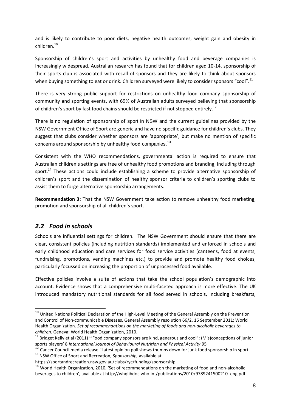and is likely to contribute to poor diets, negative health outcomes, weight gain and obesity in children. 10

Sponsorship of children's sport and activities by unhealthy food and beverage companies is increasingly widespread. Australian research has found that for children aged 10-14, sponsorship of their sports club is associated with recall of sponsors and they are likely to think about sponsors when buying something to eat or drink. Children surveyed were likely to consider sponsors "cool".<sup>11</sup>

There is very strong public support for restrictions on unhealthy food company sponsorship of community and sporting events, with 69% of Australian adults surveyed believing that sponsorship of children's sport by fast food chains should be restricted if not stopped entirely.<sup>12</sup>

There is no regulation of sponsorship of sport in NSW and the current guidelines provided by the NSW Government Office of Sport are generic and have no specific guidance for children's clubs. They suggest that clubs consider whether sponsors are 'appropriate', but make no mention of specific concerns around sponsorship by unhealthy food companies.<sup>13</sup>

Consistent with the WHO recommendations, governmental action is required to ensure that Australian children's settings are free of unhealthy food promotions and branding, including through sport.<sup>14</sup> These actions could include establishing a scheme to provide alternative sponsorship of children's sport and the dissemination of healthy sponsor criteria to children's sporting clubs to assist them to forge alternative sponsorship arrangements.

**Recommendation 3:** That the NSW Government take action to remove unhealthy food marketing, promotion and sponsorship of all children's sport.

### *2.2 Food in schools*

-

Schools are influential settings for children. The NSW Government should ensure that there are clear, consistent policies (including nutrition standards) implemented and enforced in schools and early childhood education and care services for food service activities (canteens, food at events, fundraising, promotions, vending machines etc.) to provide and promote healthy food choices, particularly focussed on increasing the proportion of unprocessed food available.

Effective policies involve a suite of actions that take the school population's demographic into account. Evidence shows that a comprehensive multi-faceted approach is more effective. The UK introduced mandatory nutritional standards for all food served in schools, including breakfasts,

<sup>&</sup>lt;sup>10</sup> United Nations Political Declaration of the High-Level Meeting of the General Assembly on the Prevention and Control of Non-communicable Diseases, General Assembly resolution 66/2, 16 September 2011; World Health Organization. *Set of recommendations on the marketing of foods and non-alcoholic beverages to children.* Geneva: World Health Organization, 2010.

 $11$  Bridget Kelly et al (2011) "'Food company sponsors are kind, generous and cool": (Mis)conceptions of junior sports players' 8 *International Journal of Behavioural Nutrition and Physical Activity* 95

<sup>&</sup>lt;sup>12</sup> Cancer Council media release "Latest opinion poll shows thumbs down for junk food sponsorship in sport <sup>13</sup> NSW Office of Sport and Recreation, *Sponsorship,* available at

https://sportandrecreation.nsw.gov.au/clubs/ryc/funding/sponsorship

<sup>&</sup>lt;sup>14</sup> World Health Organization, 2010, 'Set of recommendations on the marketing of food and non-alcoholic beverages to children', available at http://whqlibdoc.who.int/publications/2010/9789241500210\_eng.pdf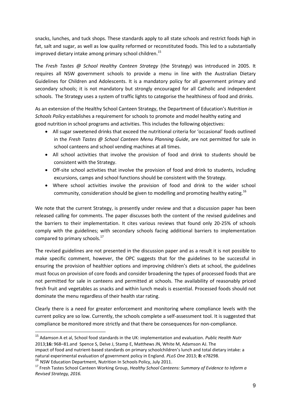snacks, lunches, and tuck shops. These standards apply to all state schools and restrict foods high in fat, salt and sugar, as well as low quality reformed or reconstituted foods. This led to a substantially improved dietary intake among primary school children.<sup>15</sup>

The *Fresh Tastes @ School Healthy Canteen Strategy* (the Strategy) was introduced in 2005. It requires all NSW government schools to provide a menu in line with the Australian Dietary Guidelines for Children and Adolescents. It is a mandatory policy for all government primary and secondary schools; it is not mandatory but strongly encouraged for all Catholic and independent schools. The Strategy uses a system of traffic lights to categorise the healthiness of food and drinks.

As an extension of the Healthy School Canteen Strategy, the Department of Education's *Nutrition in Schools Policy* establishes a requirement for schools to promote and model healthy eating and good nutrition in school programs and activities. This includes the following objectives:

- All sugar sweetened drinks that exceed the nutritional criteria for 'occasional' foods outlined in the *Fresh Tastes @ School Canteen Menu Planning Guide*, are not permitted for sale in school canteens and school vending machines at all times.
- All school activities that involve the provision of food and drink to students should be consistent with the Strategy.
- Off-site school activities that involve the provision of food and drink to students, including excursions, camps and school functions should be consistent with the Strategy.
- Where school activities involve the provision of food and drink to the wider school community, consideration should be given to modelling and promoting healthy eating.<sup>16</sup>

We note that the current Strategy, is presently under review and that a discussion paper has been released calling for comments. The paper discusses both the content of the revised guidelines and the barriers to their implementation. It cites various reviews that found only 20-25% of schools comply with the guidelines; with secondary schools facing additional barriers to implementation compared to primary schools.<sup>17</sup>

The revised guidelines are not presented in the discussion paper and as a result it is not possible to make specific comment, however, the OPC suggests that for the guidelines to be successful in ensuring the provision of healthier options and improving children's diets at school, the guidelines must focus on provision of core foods and consider broadening the types of processed foods that are not permitted for sale in canteens and permitted at schools. The availability of reasonably priced fresh fruit and vegetables as snacks and within lunch meals is essential. Processed foods should not dominate the menu regardless of their health star rating.

Clearly there is a need for greater enforcement and monitoring where compliance levels with the current policy are so low. Currently, the schools complete a self-assessment tool. It is suggested that compliance be monitored more strictly and that there be consequences for non-compliance.

<sup>15</sup> Adamson A et al, School food standards in the UK: implementation and evaluation. *Public Health Nutr*  2013;**16:** 968–81.and Spence S, Delve J, Stamp E, Matthews JN, White M, Adamson AJ. The impact of food and nutrient-based standards on primary schoolchildren's lunch and total dietary intake: a natural experimental evaluation of government policy in England. *PLoS One* 2013; **8:** e78298.

<sup>&</sup>lt;sup>16</sup> NSW Education Department, Nutrition In Schools Policy, July 2011.

<sup>17</sup> Fresh Tastes School Canteen Working Group, *Healthy School Canteens: Summary of Evidence to Inform a Revised Strategy, 2016.*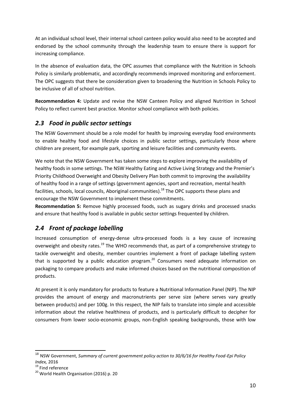At an individual school level, their internal school canteen policy would also need to be accepted and endorsed by the school community through the leadership team to ensure there is support for increasing compliance.

In the absence of evaluation data, the OPC assumes that compliance with the Nutrition in Schools Policy is similarly problematic, and accordingly recommends improved monitoring and enforcement. The OPC suggests that there be consideration given to broadening the Nutrition in Schools Policy to be inclusive of all of school nutrition.

**Recommendation 4:** Update and revise the NSW Canteen Policy and aligned Nutrition in School Policy to reflect current best practice. Monitor school compliance with both policies.

## *2.3 Food in public sector settings*

The NSW Government should be a role model for health by improving everyday food environments to enable healthy food and lifestyle choices in public sector settings, particularly those where children are present, for example park, sporting and leisure facilities and community events.

We note that the NSW Government has taken some steps to explore improving the availability of healthy foods in some settings. The NSW Healthy Eating and Active Living Strategy and the Premier's Priority Childhood Overweight and Obesity Delivery Plan both commit to improving the availability of healthy food in a range of settings (government agencies, sport and recreation, mental health facilities, schools, local councils, Aboriginal communities).<sup>18</sup> The OPC supports these plans and encourage the NSW Government to implement these commitments.

**Recommendation 5:** Remove highly processed foods, such as sugary drinks and processed snacks and ensure that healthy food is available in public sector settings frequented by children.

# *2.4 Front of package labelling*

Increased consumption of energy-dense ultra-processed foods is a key cause of increasing overweight and obesity rates.<sup>19</sup> The WHO recommends that, as part of a comprehensive strategy to tackle overweight and obesity, member countries implement a front of package labelling system that is supported by a public education program.<sup>20</sup> Consumers need adequate information on packaging to compare products and make informed choices based on the nutritional composition of products.

At present it is only mandatory for products to feature a Nutritional Information Panel (NIP). The NIP provides the amount of energy and macronutrients per serve size (where serves vary greatly between products) and per 100g. In this respect, the NIP fails to translate into simple and accessible information about the relative healthiness of products, and is particularly difficult to decipher for consumers from lower socio-economic groups, non-English speaking backgrounds, those with low

<sup>18</sup> NSW Government, *Summary of current government policy action to 30/6/16 for Healthy Food-Epi Policy Index,* 2016

<sup>&</sup>lt;sup>19</sup> Find reference

<sup>&</sup>lt;sup>20</sup> World Health Organisation (2016) p. 20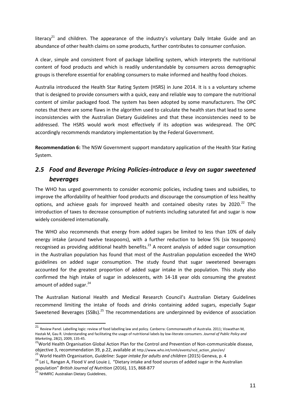literacy<sup>21</sup> and children. The appearance of the industry's voluntary Daily Intake Guide and an abundance of other health claims on some products, further contributes to consumer confusion.

A clear, simple and consistent front of package labelling system, which interprets the nutritional content of food products and which is readily understandable by consumers across demographic groups is therefore essential for enabling consumers to make informed and healthy food choices.

Australia introduced the Health Star Rating System (HSRS) in June 2014. It is s a voluntary scheme that is designed to provide consumers with a quick, easy and reliable way to compare the nutritional content of similar packaged food. The system has been adopted by some manufacturers. The OPC notes that there are some flaws in the algorithm used to calculate the health stars that lead to some inconsistencies with the Australian Dietary Guidelines and that these inconsistencies need to be addressed. The HSRS would work most effectively if its adoption was widespread. The OPC accordingly recommends mandatory implementation by the Federal Government.

**Recommendation 6:** The NSW Government support mandatory application of the Health Star Rating System.

# *2.5 Food and Beverage Pricing Policies-introduce a levy on sugar sweetened beverages*

The WHO has urged governments to consider economic policies, including taxes and subsidies, to improve the affordability of healthier food products and discourage the consumption of less healthy options, and achieve goals for improved health and contained obesity rates by 2020.<sup>22</sup> The introduction of taxes to decrease consumption of nutrients including saturated fat and sugar is now widely considered internationally.

The WHO also recommends that energy from added sugars be limited to less than 10% of daily energy intake (around twelve teaspoons), with a further reduction to below 5% (six teaspoons) recognised as providing additional health benefits.<sup>23</sup> A recent analysis of added sugar consumption in the Australian population has found that most of the Australian population exceeded the WHO guidelines on added sugar consumption. The study found that sugar sweetened beverages accounted for the greatest proportion of added sugar intake in the population. This study also confirmed the high intake of sugar in adolescents, with 14-18 year olds consuming the greatest amount of added sugar.<sup>24</sup>

The Australian National Health and Medical Research Council's Australian Dietary Guidelines recommend limiting the intake of foods and drinks containing added sugars, especially Sugar Sweetened Beverages (SSBs).<sup>25</sup> The recommendations are underpinned by evidence of association

<sup>21</sup> Review Panel. Labelling logic: review of food labelling law and policy. Canberra: Commonwealth of Australia. 2011; Viswathan M, Hastak M, Gau R. Understanding and facilitating the usage of nutritional labels by low-literate consumers. *Journal of Public Policy and* 

*Marketing,* 28(2), 2009, 135-45.<br><sup>22</sup>World Health Organisation Global Action Plan for the Control and Prevention of Non-communicable disease, objective 3, recommendation 39, p.22, available at http://www.who.int/nmh/events/ncd\_action\_plan/en/

<sup>23</sup> World Health Organisation, *Guideline: Sugar intake for adults and children* (2015) Geneva, p. 4

<sup>&</sup>lt;sup>24</sup> Lei L, Rangan A, Flood V and Louie J, "Dietary intake and food sources of added sugar in the Australian population" *British Journal of Nutrition* (2016), 115, 868-877

<sup>&</sup>lt;sup>25</sup> NHMRC Australian Dietary Guidelines,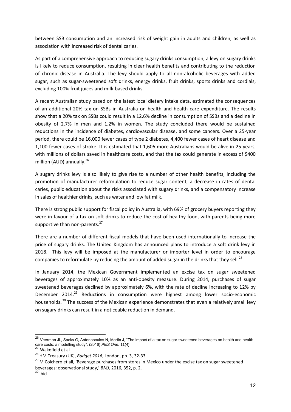between SSB consumption and an increased risk of weight gain in adults and children, as well as association with increased risk of dental caries.

As part of a comprehensive approach to reducing sugary drinks consumption, a levy on sugary drinks is likely to reduce consumption, resulting in clear health benefits and contributing to the reduction of chronic disease in Australia. The levy should apply to all non-alcoholic beverages with added sugar, such as sugar-sweetened soft drinks, energy drinks, fruit drinks, sports drinks and cordials, excluding 100% fruit juices and milk-based drinks.

A recent Australian study based on the latest local dietary intake data, estimated the consequences of an additional 20% tax on SSBs in Australia on health and health care expenditure. The results show that a 20% tax on SSBs could result in a 12.6% decline in consumption of SSBs and a decline in obesity of 2.7% in men and 1.2% in women. The study concluded there would be sustained reductions in the incidence of diabetes, cardiovascular disease, and some cancers. Over a 25-year period, there could be 16,000 fewer cases of type 2 diabetes, 4,400 fewer cases of heart disease and 1,100 fewer cases of stroke. It is estimated that 1,606 more Australians would be alive in 25 years, with millions of dollars saved in healthcare costs, and that the tax could generate in excess of \$400 million (AUD) annually.<sup>26</sup>

A sugary drinks levy is also likely to give rise to a number of other health benefits, including the promotion of manufacturer reformulation to reduce sugar content, a decrease in rates of dental caries, public education about the risks associated with sugary drinks, and a compensatory increase in sales of healthier drinks, such as water and low fat milk.

There is strong public support for fiscal policy in Australia, with 69% of grocery buyers reporting they were in favour of a tax on soft drinks to reduce the cost of healthy food, with parents being more supportive than non-parents. $27$ 

There are a number of different fiscal models that have been used internationally to increase the price of sugary drinks. The United Kingdom has announced plans to introduce a soft drink levy in 2018. This levy will be imposed at the manufacturer or importer level in order to encourage companies to reformulate by reducing the amount of added sugar in the drinks that they sell.<sup>28</sup>

In January 2014, the Mexican Government implemented an excise tax on sugar sweetened beverages of approximately 10% as an anti-obesity measure. During 2014, purchases of sugar sweetened beverages declined by approximately 6%, with the rate of decline increasing to 12% by December 2014.<sup>29</sup> Reductions in consumption were highest among lower socio-economic households.<sup>130</sup> The success of the Mexican experience demonstrates that even a relatively small levy on sugary drinks can result in a noticeable reduction in demand.

 $\overline{a}$ 

<sup>&</sup>lt;sup>26</sup> Veerman JL, Sacks G, Antonopoulos N, Martin J, "The impact of a tax on sugar-sweetened beverages on health and health care costs; a modelling study", (2016) *PloS One,* 11(4). <sup>27</sup> Wakefield et al

<sup>28</sup> HM Treasury (UK), *Budget 2016*, London, pp. 3, 32-33.

<sup>&</sup>lt;sup>29</sup> M Colchero et all, 'Beverage purchases from stores in Mexico under the excise tax on sugar sweetened beverages: observational study,' *BMJ,* 2016, 352, p. 2.

 $30$  ibid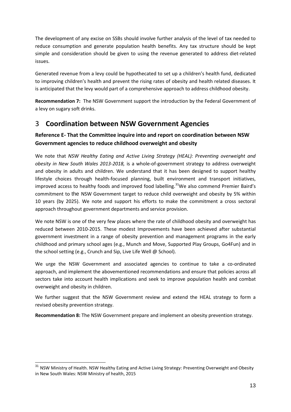The development of any excise on SSBs should involve further analysis of the level of tax needed to reduce consumption and generate population health benefits. Any tax structure should be kept simple and consideration should be given to using the revenue generated to address diet-related issues.

Generated revenue from a levy could be hypothecated to set up a children's health fund, dedicated to improving children's health and prevent the rising rates of obesity and health related diseases. It is anticipated that the levy would part of a comprehensive approach to address childhood obesity.

**Recommendation 7:** The NSW Government support the introduction by the Federal Government of a levy on sugary soft drinks.

# 3 **Coordination between NSW Government Agencies**

#### **Reference E- That the Committee inquire into and report on coordination between NSW Government agencies to reduce childhood overweight and obesity**

We note that *NSW Healthy Eating and Active Living Strategy (HEAL): Preventing overweight and obesity in New South Wales 2013-2018,* is a whole-of-government strategy to address overweight and obesity in adults and children. We understand that it has been designed to support healthy lifestyle choices through health-focused planning, built environment and transport initiatives, improved access to healthy foods and improved food labelling.<sup>31</sup>We also commend Premier Baird's commitment to the NSW Government target to reduce child overweight and obesity by 5% within 10 years (by 2025). We note and support his efforts to make the commitment a cross sectoral approach throughout government departments and service provision.

We note NSW is one of the very few places where the rate of childhood obesity and overweight has reduced between 2010-2015. These modest Improvements have been achieved after substantial government investment in a range of obesity prevention and management programs in the early childhood and primary school ages (e.g., Munch and Move, Supported Play Groups, Go4Fun) and in the school setting (e.g., Crunch and Sip, Live Life Well @ School).

We urge the NSW Government and associated agencies to continue to take a co-ordinated approach, and implement the abovementioned recommendations and ensure that policies across all sectors take into account health implications and seek to improve population health and combat overweight and obesity in children.

We further suggest that the NSW Government review and extend the HEAL strategy to form a revised obesity prevention strategy.

**Recommendation 8:** The NSW Government prepare and implement an obesity prevention strategy.

<sup>&</sup>lt;sup>31</sup> NSW Ministry of Health. NSW Healthy Eating and Active Living Strategy: Preventing Overweight and Obesity in New South Wales: NSW Ministry of health, 2015